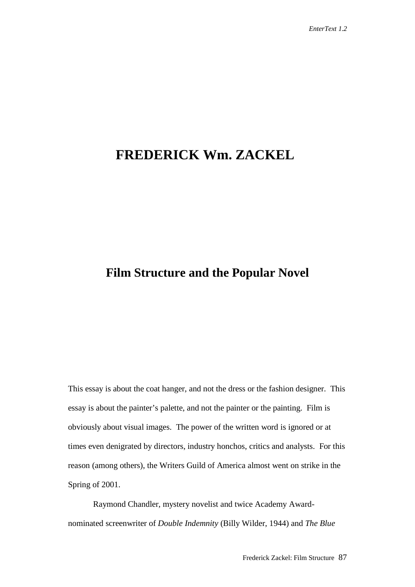# **FREDERICK Wm. ZACKEL**

# **Film Structure and the Popular Novel**

This essay is about the coat hanger, and not the dress or the fashion designer. This essay is about the painter's palette, and not the painter or the painting. Film is obviously about visual images. The power of the written word is ignored or at times even denigrated by directors, industry honchos, critics and analysts. For this reason (among others), the Writers Guild of America almost went on strike in the Spring of 2001.

Raymond Chandler, mystery novelist and twice Academy Awardnominated screenwriter of *Double Indemnity* (Billy Wilder, 1944) and *The Blue*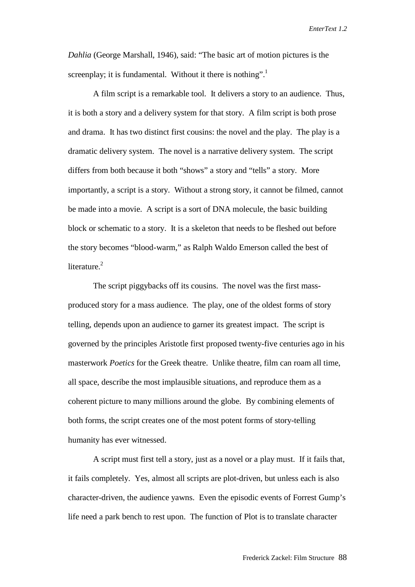*Dahlia* (George Marshall, 1946), said: "The basic art of motion pictures is the screenplay; it is fundamental. Without it there is nothing".

A film script is a remarkable tool. It delivers a story to an audience. Thus, it is both a story and a delivery system for that story. A film script is both prose and drama. It has two distinct first cousins: the novel and the play. The play is a dramatic delivery system. The novel is a narrative delivery system. The script differs from both because it both "shows" a story and "tells" a story. More importantly, a script is a story. Without a strong story, it cannot be filmed, cannot be made into a movie. A script is a sort of DNA molecule, the basic building block or schematic to a story. It is a skeleton that needs to be fleshed out before the story becomes "blood-warm," as Ralph Waldo Emerson called the best of literature.<sup>2</sup>

The script piggybacks off its cousins. The novel was the first massproduced story for a mass audience. The play, one of the oldest forms of story telling, depends upon an audience to garner its greatest impact. The script is governed by the principles Aristotle first proposed twenty-five centuries ago in his masterwork *Poetics* for the Greek theatre. Unlike theatre, film can roam all time, all space, describe the most implausible situations, and reproduce them as a coherent picture to many millions around the globe. By combining elements of both forms, the script creates one of the most potent forms of story-telling humanity has ever witnessed.

A script must first tell a story, just as a novel or a play must. If it fails that, it fails completely. Yes, almost all scripts are plot-driven, but unless each is also character-driven, the audience yawns. Even the episodic events of Forrest Gump's life need a park bench to rest upon. The function of Plot is to translate character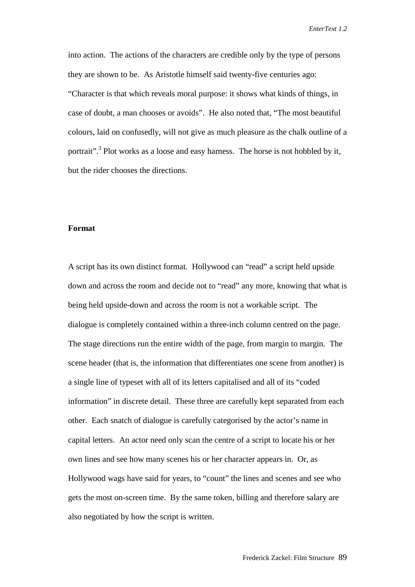into action. The actions of the characters are credible only by the type of persons they are shown to be. As Aristotle himself said twenty-five centuries ago: "Character is that which reveals moral purpose: it shows what kinds of things, in case of doubt, a man chooses or avoids". He also noted that, "The most beautiful colours, laid on confusedly, will not give as much pleasure as the chalk outline of a portrait".<sup>3</sup> Plot works as a loose and easy harness. The horse is not hobbled by it, but the rider chooses the directions.

### **Format**

A script has its own distinct format. Hollywood can "read" a script held upside down and across the room and decide not to "read" any more, knowing that what is being held upside-down and across the room is not a workable script. The dialogue is completely contained within a three-inch column centred on the page. The stage directions run the entire width of the page, from margin to margin. The scene header (that is, the information that differentiates one scene from another) is a single line of typeset with all of its letters capitalised and all of its "coded information" in discrete detail. These three are carefully kept separated from each other. Each snatch of dialogue is carefully categorised by the actor's name in capital letters. An actor need only scan the centre of a script to locate his or her own lines and see how many scenes his or her character appears in. Or, as Hollywood wags have said for years, to "count" the lines and scenes and see who gets the most on-screen time. By the same token, billing and therefore salary are also negotiated by how the script is written.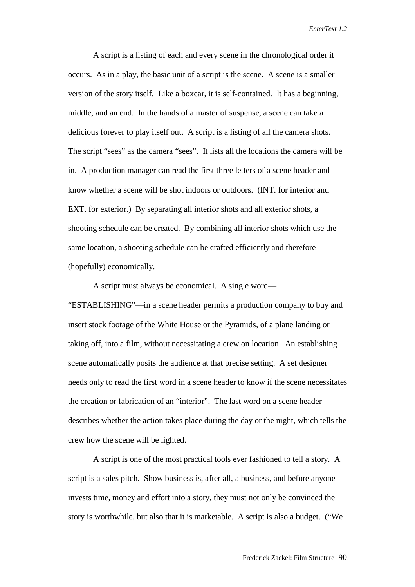A script is a listing of each and every scene in the chronological order it occurs. As in a play, the basic unit of a script is the scene. A scene is a smaller version of the story itself. Like a boxcar, it is self-contained. It has a beginning, middle, and an end. In the hands of a master of suspense, a scene can take a delicious forever to play itself out. A script is a listing of all the camera shots. The script "sees" as the camera "sees". It lists all the locations the camera will be in. A production manager can read the first three letters of a scene header and know whether a scene will be shot indoors or outdoors. (INT. for interior and EXT. for exterior.) By separating all interior shots and all exterior shots, a shooting schedule can be created. By combining all interior shots which use the same location, a shooting schedule can be crafted efficiently and therefore (hopefully) economically.

A script must always be economical. A single word— "ESTABLISHING"—in a scene header permits a production company to buy and insert stock footage of the White House or the Pyramids, of a plane landing or taking off, into a film, without necessitating a crew on location. An establishing scene automatically posits the audience at that precise setting. A set designer needs only to read the first word in a scene header to know if the scene necessitates the creation or fabrication of an "interior". The last word on a scene header describes whether the action takes place during the day or the night, which tells the crew how the scene will be lighted.

A script is one of the most practical tools ever fashioned to tell a story. A script is a sales pitch. Show business is, after all, a business, and before anyone invests time, money and effort into a story, they must not only be convinced the story is worthwhile, but also that it is marketable. A script is also a budget. ("We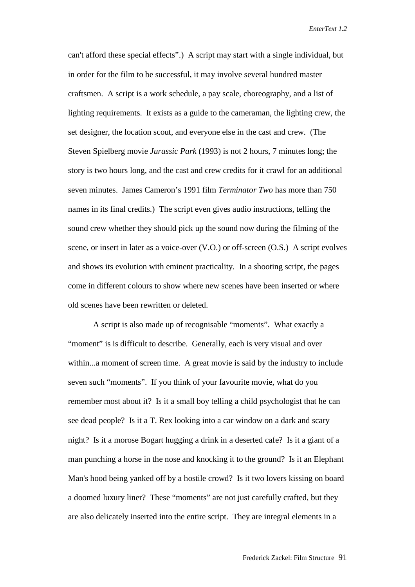can't afford these special effects".) A script may start with a single individual, but in order for the film to be successful, it may involve several hundred master craftsmen. A script is a work schedule, a pay scale, choreography, and a list of lighting requirements. It exists as a guide to the cameraman, the lighting crew, the set designer, the location scout, and everyone else in the cast and crew. (The Steven Spielberg movie *Jurassic Park* (1993) is not 2 hours, 7 minutes long; the story is two hours long, and the cast and crew credits for it crawl for an additional seven minutes. James Cameron's 1991 film *Terminator Two* has more than 750 names in its final credits.) The script even gives audio instructions, telling the sound crew whether they should pick up the sound now during the filming of the scene, or insert in later as a voice-over (V.O.) or off-screen (O.S.) A script evolves and shows its evolution with eminent practicality. In a shooting script, the pages come in different colours to show where new scenes have been inserted or where old scenes have been rewritten or deleted.

A script is also made up of recognisable "moments". What exactly a "moment" is is difficult to describe. Generally, each is very visual and over within...a moment of screen time. A great movie is said by the industry to include seven such "moments". If you think of your favourite movie, what do you remember most about it? Is it a small boy telling a child psychologist that he can see dead people? Is it a T. Rex looking into a car window on a dark and scary night? Is it a morose Bogart hugging a drink in a deserted cafe? Is it a giant of a man punching a horse in the nose and knocking it to the ground? Is it an Elephant Man's hood being yanked off by a hostile crowd? Is it two lovers kissing on board a doomed luxury liner? These "moments" are not just carefully crafted, but they are also delicately inserted into the entire script. They are integral elements in a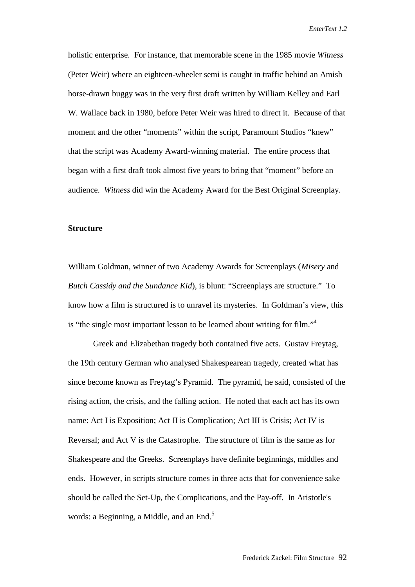holistic enterprise. For instance, that memorable scene in the 1985 movie *Witness* (Peter Weir) where an eighteen-wheeler semi is caught in traffic behind an Amish horse-drawn buggy was in the very first draft written by William Kelley and Earl W. Wallace back in 1980, before Peter Weir was hired to direct it. Because of that moment and the other "moments" within the script, Paramount Studios "knew" that the script was Academy Award-winning material. The entire process that began with a first draft took almost five years to bring that "moment" before an audience. *Witness* did win the Academy Award for the Best Original Screenplay.

#### **Structure**

William Goldman, winner of two Academy Awards for Screenplays (*Misery* and *Butch Cassidy and the Sundance Kid*), is blunt: "Screenplays are structure." To know how a film is structured is to unravel its mysteries. In Goldman's view, this is "the single most important lesson to be learned about writing for film."<sup>4</sup>

Greek and Elizabethan tragedy both contained five acts. Gustav Freytag, the 19th century German who analysed Shakespearean tragedy, created what has since become known as Freytag's Pyramid. The pyramid, he said, consisted of the rising action, the crisis, and the falling action. He noted that each act has its own name: Act I is Exposition; Act II is Complication; Act III is Crisis; Act IV is Reversal; and Act V is the Catastrophe. The structure of film is the same as for Shakespeare and the Greeks. Screenplays have definite beginnings, middles and ends. However, in scripts structure comes in three acts that for convenience sake should be called the Set-Up, the Complications, and the Pay-off. In Aristotle's words: a Beginning, a Middle, and an End. $<sup>5</sup>$ </sup>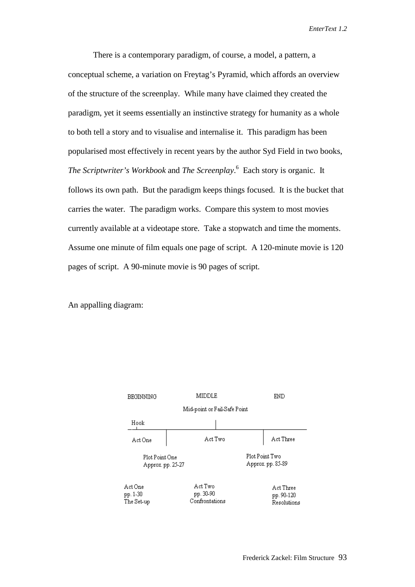There is a contemporary paradigm, of course, a model, a pattern, a conceptual scheme, a variation on Freytag's Pyramid, which affords an overview of the structure of the screenplay. While many have claimed they created the paradigm, yet it seems essentially an instinctive strategy for humanity as a whole to both tell a story and to visualise and internalise it. This paradigm has been popularised most effectively in recent years by the author Syd Field in two books, *The Scriptwriter's Workbook* and *The Screenplay*. 6 Each story is organic. It follows its own path. But the paradigm keeps things focused. It is the bucket that carries the water. The paradigm works. Compare this system to most movies currently available at a videotape store. Take a stopwatch and time the moments. Assume one minute of film equals one page of script. A 120-minute movie is 120 pages of script. A 90-minute movie is 90 pages of script.

An appalling diagram:

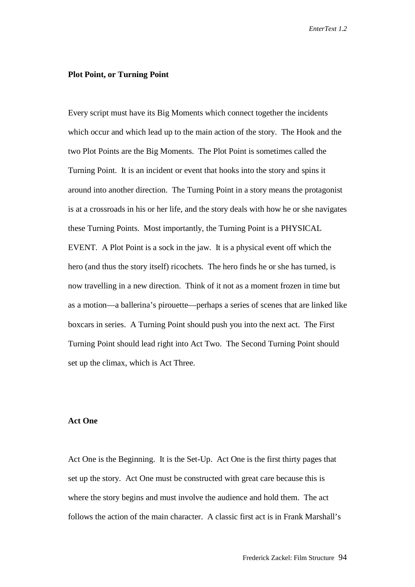#### **Plot Point, or Turning Point**

Every script must have its Big Moments which connect together the incidents which occur and which lead up to the main action of the story. The Hook and the two Plot Points are the Big Moments. The Plot Point is sometimes called the Turning Point. It is an incident or event that hooks into the story and spins it around into another direction. The Turning Point in a story means the protagonist is at a crossroads in his or her life, and the story deals with how he or she navigates these Turning Points. Most importantly, the Turning Point is a PHYSICAL EVENT. A Plot Point is a sock in the jaw. It is a physical event off which the hero (and thus the story itself) ricochets. The hero finds he or she has turned, is now travelling in a new direction. Think of it not as a moment frozen in time but as a motion—a ballerina's pirouette—perhaps a series of scenes that are linked like boxcars in series. A Turning Point should push you into the next act. The First Turning Point should lead right into Act Two. The Second Turning Point should set up the climax, which is Act Three.

## **Act One**

Act One is the Beginning. It is the Set-Up. Act One is the first thirty pages that set up the story. Act One must be constructed with great care because this is where the story begins and must involve the audience and hold them. The act follows the action of the main character. A classic first act is in Frank Marshall's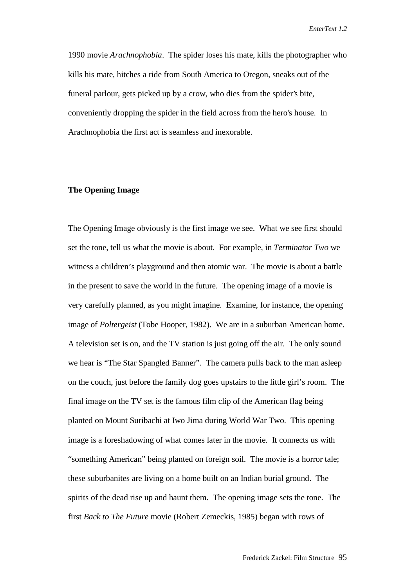1990 movie *Arachnophobia*. The spider loses his mate, kills the photographer who kills his mate, hitches a ride from South America to Oregon, sneaks out of the funeral parlour, gets picked up by a crow, who dies from the spider's bite, conveniently dropping the spider in the field across from the hero's house. In Arachnophobia the first act is seamless and inexorable.

## **The Opening Image**

The Opening Image obviously is the first image we see. What we see first should set the tone, tell us what the movie is about. For example, in *Terminator Two* we witness a children's playground and then atomic war. The movie is about a battle in the present to save the world in the future. The opening image of a movie is very carefully planned, as you might imagine. Examine, for instance, the opening image of *Poltergeist* (Tobe Hooper, 1982). We are in a suburban American home. A television set is on, and the TV station is just going off the air. The only sound we hear is "The Star Spangled Banner". The camera pulls back to the man asleep on the couch, just before the family dog goes upstairs to the little girl's room. The final image on the TV set is the famous film clip of the American flag being planted on Mount Suribachi at Iwo Jima during World War Two. This opening image is a foreshadowing of what comes later in the movie. It connects us with "something American" being planted on foreign soil. The movie is a horror tale; these suburbanites are living on a home built on an Indian burial ground. The spirits of the dead rise up and haunt them. The opening image sets the tone. The first *Back to The Future* movie (Robert Zemeckis, 1985) began with rows of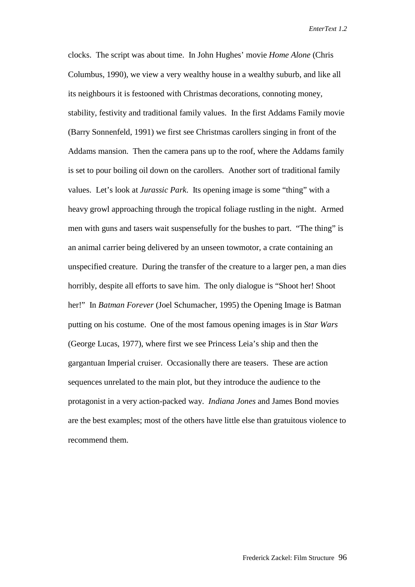clocks. The script was about time. In John Hughes' movie *Home Alone* (Chris Columbus, 1990), we view a very wealthy house in a wealthy suburb, and like all its neighbours it is festooned with Christmas decorations, connoting money, stability, festivity and traditional family values. In the first Addams Family movie (Barry Sonnenfeld, 1991) we first see Christmas carollers singing in front of the Addams mansion. Then the camera pans up to the roof, where the Addams family is set to pour boiling oil down on the carollers. Another sort of traditional family values. Let's look at *Jurassic Park*. Its opening image is some "thing" with a heavy growl approaching through the tropical foliage rustling in the night. Armed men with guns and tasers wait suspensefully for the bushes to part. "The thing" is an animal carrier being delivered by an unseen towmotor, a crate containing an unspecified creature. During the transfer of the creature to a larger pen, a man dies horribly, despite all efforts to save him. The only dialogue is "Shoot her! Shoot her!" In *Batman Forever* (Joel Schumacher, 1995) the Opening Image is Batman putting on his costume. One of the most famous opening images is in *Star Wars* (George Lucas, 1977), where first we see Princess Leia's ship and then the gargantuan Imperial cruiser. Occasionally there are teasers. These are action sequences unrelated to the main plot, but they introduce the audience to the protagonist in a very action-packed way. *Indiana Jones* and James Bond movies are the best examples; most of the others have little else than gratuitous violence to recommend them.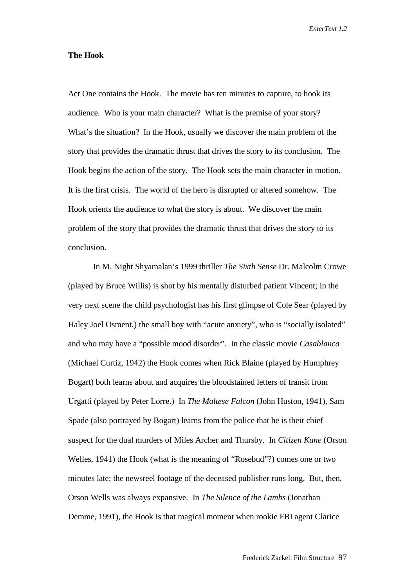#### **The Hook**

Act One contains the Hook. The movie has ten minutes to capture, to hook its audience. Who is your main character? What is the premise of your story? What's the situation? In the Hook, usually we discover the main problem of the story that provides the dramatic thrust that drives the story to its conclusion. The Hook begins the action of the story. The Hook sets the main character in motion. It is the first crisis. The world of the hero is disrupted or altered somehow. The Hook orients the audience to what the story is about. We discover the main problem of the story that provides the dramatic thrust that drives the story to its conclusion.

In M. Night Shyamalan's 1999 thriller *The Sixth Sense* Dr. Malcolm Crowe (played by Bruce Willis) is shot by his mentally disturbed patient Vincent; in the very next scene the child psychologist has his first glimpse of Cole Sear (played by Haley Joel Osment,) the small boy with "acute anxiety", who is "socially isolated" and who may have a "possible mood disorder". In the classic movie *Casablanca* (Michael Curtiz, 1942) the Hook comes when Rick Blaine (played by Humphrey Bogart) both learns about and acquires the bloodstained letters of transit from Urgatti (played by Peter Lorre.) In *The Maltese Falcon* (John Huston, 1941), Sam Spade (also portrayed by Bogart) learns from the police that he is their chief suspect for the dual murders of Miles Archer and Thursby. In *Citizen Kane* (Orson Welles, 1941) the Hook (what is the meaning of "Rosebud"?) comes one or two minutes late; the newsreel footage of the deceased publisher runs long. But, then, Orson Wells was always expansive. In *The Silence of the Lambs* (Jonathan Demme, 1991), the Hook is that magical moment when rookie FBI agent Clarice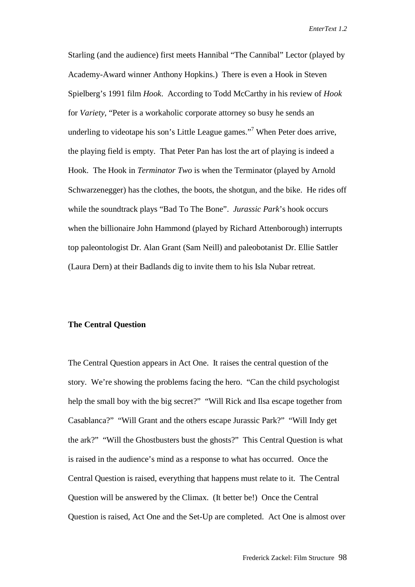Starling (and the audience) first meets Hannibal "The Cannibal" Lector (played by Academy-Award winner Anthony Hopkins.) There is even a Hook in Steven Spielberg's 1991 film *Hook*. According to Todd McCarthy in his review of *Hook* for *Variety*, "Peter is a workaholic corporate attorney so busy he sends an underling to videotape his son's Little League games."<sup>7</sup> When Peter does arrive, the playing field is empty. That Peter Pan has lost the art of playing is indeed a Hook. The Hook in *Terminator Two* is when the Terminator (played by Arnold Schwarzenegger) has the clothes, the boots, the shotgun, and the bike. He rides off while the soundtrack plays "Bad To The Bone". *Jurassic Park*'s hook occurs when the billionaire John Hammond (played by Richard Attenborough) interrupts top paleontologist Dr. Alan Grant (Sam Neill) and paleobotanist Dr. Ellie Sattler (Laura Dern) at their Badlands dig to invite them to his Isla Nubar retreat.

### **The Central Question**

The Central Question appears in Act One. It raises the central question of the story. We're showing the problems facing the hero. "Can the child psychologist help the small boy with the big secret?" "Will Rick and Ilsa escape together from Casablanca?" "Will Grant and the others escape Jurassic Park?" "Will Indy get the ark?" "Will the Ghostbusters bust the ghosts?" This Central Question is what is raised in the audience's mind as a response to what has occurred. Once the Central Question is raised, everything that happens must relate to it. The Central Question will be answered by the Climax. (It better be!) Once the Central Question is raised, Act One and the Set-Up are completed. Act One is almost over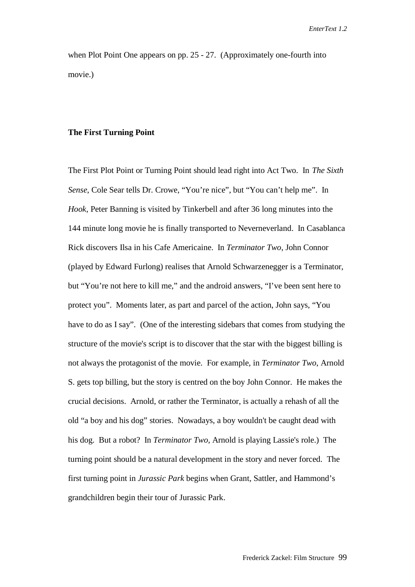when Plot Point One appears on pp. 25 - 27. (Approximately one-fourth into movie.)

### **The First Turning Point**

The First Plot Point or Turning Point should lead right into Act Two. In *The Sixth Sense*, Cole Sear tells Dr. Crowe, "You're nice", but "You can't help me". In *Hook*, Peter Banning is visited by Tinkerbell and after 36 long minutes into the 144 minute long movie he is finally transported to Neverneverland. In Casablanca Rick discovers Ilsa in his Cafe Americaine. In *Terminator Two*, John Connor (played by Edward Furlong) realises that Arnold Schwarzenegger is a Terminator, but "You're not here to kill me," and the android answers, "I've been sent here to protect you". Moments later, as part and parcel of the action, John says, "You have to do as I say". (One of the interesting sidebars that comes from studying the structure of the movie's script is to discover that the star with the biggest billing is not always the protagonist of the movie. For example, in *Terminator Two*, Arnold S. gets top billing, but the story is centred on the boy John Connor. He makes the crucial decisions. Arnold, or rather the Terminator, is actually a rehash of all the old "a boy and his dog" stories. Nowadays, a boy wouldn't be caught dead with his dog. But a robot? In *Terminator Two*, Arnold is playing Lassie's role.) The turning point should be a natural development in the story and never forced. The first turning point in *Jurassic Park* begins when Grant, Sattler, and Hammond's grandchildren begin their tour of Jurassic Park.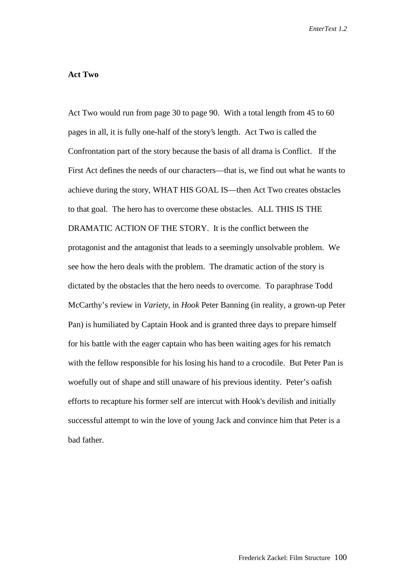#### **Act Two**

Act Two would run from page 30 to page 90. With a total length from 45 to 60 pages in all, it is fully one-half of the story's length. Act Two is called the Confrontation part of the story because the basis of all drama is Conflict. If the First Act defines the needs of our characters—that is, we find out what he wants to achieve during the story, WHAT HIS GOAL IS—then Act Two creates obstacles to that goal. The hero has to overcome these obstacles. ALL THIS IS THE DRAMATIC ACTION OF THE STORY. It is the conflict between the protagonist and the antagonist that leads to a seemingly unsolvable problem. We see how the hero deals with the problem. The dramatic action of the story is dictated by the obstacles that the hero needs to overcome. To paraphrase Todd McCarthy's review in *Variety*, in *Hook* Peter Banning (in reality, a grown-up Peter Pan) is humiliated by Captain Hook and is granted three days to prepare himself for his battle with the eager captain who has been waiting ages for his rematch with the fellow responsible for his losing his hand to a crocodile. But Peter Pan is woefully out of shape and still unaware of his previous identity. Peter's oafish efforts to recapture his former self are intercut with Hook's devilish and initially successful attempt to win the love of young Jack and convince him that Peter is a bad father.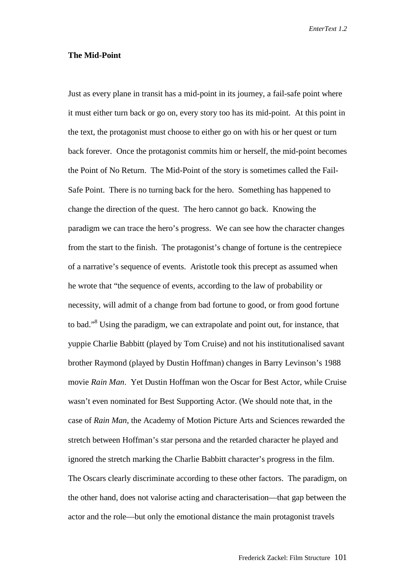### **The Mid-Point**

Just as every plane in transit has a mid-point in its journey, a fail-safe point where it must either turn back or go on, every story too has its mid-point. At this point in the text, the protagonist must choose to either go on with his or her quest or turn back forever. Once the protagonist commits him or herself, the mid-point becomes the Point of No Return. The Mid-Point of the story is sometimes called the Fail-Safe Point. There is no turning back for the hero. Something has happened to change the direction of the quest. The hero cannot go back. Knowing the paradigm we can trace the hero's progress. We can see how the character changes from the start to the finish. The protagonist's change of fortune is the centrepiece of a narrative's sequence of events. Aristotle took this precept as assumed when he wrote that "the sequence of events, according to the law of probability or necessity, will admit of a change from bad fortune to good, or from good fortune to bad."<sup>8</sup> Using the paradigm, we can extrapolate and point out, for instance, that yuppie Charlie Babbitt (played by Tom Cruise) and not his institutionalised savant brother Raymond (played by Dustin Hoffman) changes in Barry Levinson's 1988 movie *Rain Man*. Yet Dustin Hoffman won the Oscar for Best Actor, while Cruise wasn't even nominated for Best Supporting Actor. (We should note that, in the case of *Rain Man*, the Academy of Motion Picture Arts and Sciences rewarded the stretch between Hoffman's star persona and the retarded character he played and ignored the stretch marking the Charlie Babbitt character's progress in the film. The Oscars clearly discriminate according to these other factors. The paradigm, on the other hand, does not valorise acting and characterisation—that gap between the actor and the role—but only the emotional distance the main protagonist travels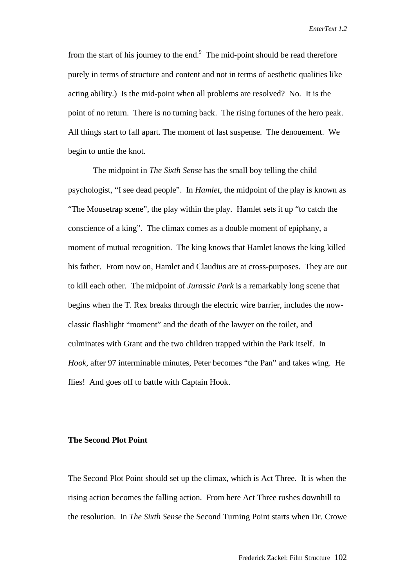from the start of his journey to the end.<sup>9</sup> The mid-point should be read therefore purely in terms of structure and content and not in terms of aesthetic qualities like acting ability.) Is the mid-point when all problems are resolved? No. It is the point of no return. There is no turning back. The rising fortunes of the hero peak. All things start to fall apart. The moment of last suspense. The denouement. We begin to untie the knot.

The midpoint in *The Sixth Sense* has the small boy telling the child psychologist, "I see dead people". In *Hamlet*, the midpoint of the play is known as "The Mousetrap scene", the play within the play. Hamlet sets it up "to catch the conscience of a king". The climax comes as a double moment of epiphany, a moment of mutual recognition. The king knows that Hamlet knows the king killed his father. From now on, Hamlet and Claudius are at cross-purposes. They are out to kill each other. The midpoint of *Jurassic Park* is a remarkably long scene that begins when the T. Rex breaks through the electric wire barrier, includes the nowclassic flashlight "moment" and the death of the lawyer on the toilet, and culminates with Grant and the two children trapped within the Park itself. In *Hook*, after 97 interminable minutes, Peter becomes "the Pan" and takes wing. He flies! And goes off to battle with Captain Hook.

## **The Second Plot Point**

The Second Plot Point should set up the climax, which is Act Three. It is when the rising action becomes the falling action. From here Act Three rushes downhill to the resolution. In *The Sixth Sense* the Second Turning Point starts when Dr. Crowe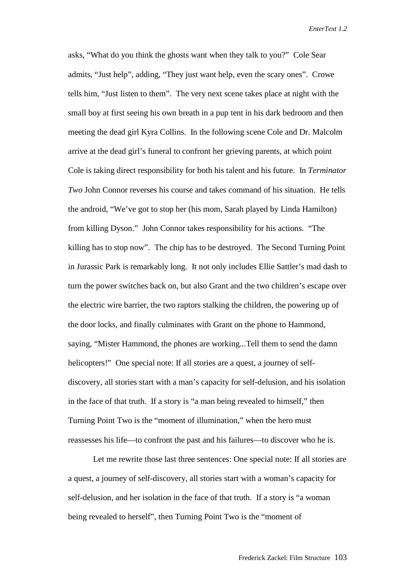asks, "What do you think the ghosts want when they talk to you?" Cole Sear admits, "Just help", adding, "They just want help, even the scary ones". Crowe tells him, "Just listen to them". The very next scene takes place at night with the small boy at first seeing his own breath in a pup tent in his dark bedroom and then meeting the dead girl Kyra Collins. In the following scene Cole and Dr. Malcolm arrive at the dead girl's funeral to confront her grieving parents, at which point Cole is taking direct responsibility for both his talent and his future. In *Terminator Two* John Connor reverses his course and takes command of his situation. He tells the android, "We've got to stop her (his mom, Sarah played by Linda Hamilton) from killing Dyson." John Connor takes responsibility for his actions. "The killing has to stop now". The chip has to be destroyed. The Second Turning Point in Jurassic Park is remarkably long. It not only includes Ellie Sattler's mad dash to turn the power switches back on, but also Grant and the two children's escape over the electric wire barrier, the two raptors stalking the children, the powering up of the door locks, and finally culminates with Grant on the phone to Hammond, saying, "Mister Hammond, the phones are working...Tell them to send the damn helicopters!" One special note: If all stories are a quest, a journey of selfdiscovery, all stories start with a man's capacity for self-delusion, and his isolation in the face of that truth. If a story is "a man being revealed to himself," then Turning Point Two is the "moment of illumination," when the hero must reassesses his life—to confront the past and his failures—to discover who he is.

Let me rewrite those last three sentences: One special note: If all stories are a quest, a journey of self-discovery, all stories start with a woman's capacity for self-delusion, and her isolation in the face of that truth. If a story is "a woman being revealed to herself", then Turning Point Two is the "moment of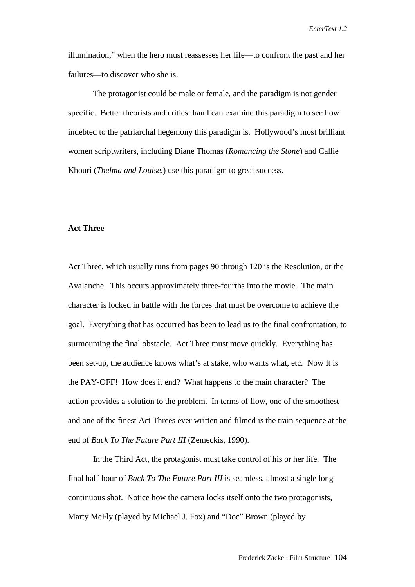illumination," when the hero must reassesses her life—to confront the past and her failures—to discover who she is.

The protagonist could be male or female, and the paradigm is not gender specific. Better theorists and critics than I can examine this paradigm to see how indebted to the patriarchal hegemony this paradigm is. Hollywood's most brilliant women scriptwriters, including Diane Thomas (*Romancing the Stone*) and Callie Khouri (*Thelma and Louise*,) use this paradigm to great success.

# **Act Three**

Act Three, which usually runs from pages 90 through 120 is the Resolution, or the Avalanche. This occurs approximately three-fourths into the movie. The main character is locked in battle with the forces that must be overcome to achieve the goal. Everything that has occurred has been to lead us to the final confrontation, to surmounting the final obstacle. Act Three must move quickly. Everything has been set-up, the audience knows what's at stake, who wants what, etc. Now It is the PAY-OFF! How does it end? What happens to the main character? The action provides a solution to the problem. In terms of flow, one of the smoothest and one of the finest Act Threes ever written and filmed is the train sequence at the end of *Back To The Future Part III* (Zemeckis, 1990).

In the Third Act, the protagonist must take control of his or her life. The final half-hour of *Back To The Future Part III* is seamless, almost a single long continuous shot. Notice how the camera locks itself onto the two protagonists, Marty McFly (played by Michael J. Fox) and "Doc" Brown (played by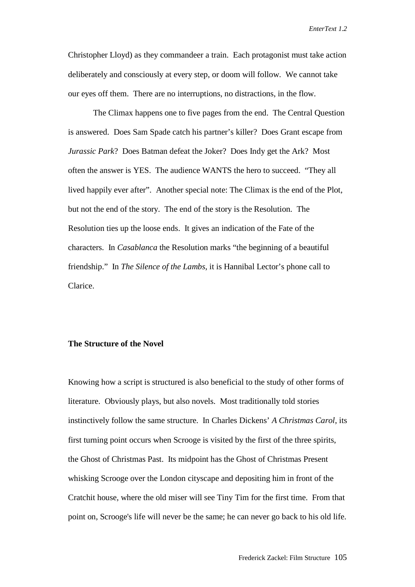Christopher Lloyd) as they commandeer a train. Each protagonist must take action deliberately and consciously at every step, or doom will follow. We cannot take our eyes off them. There are no interruptions, no distractions, in the flow.

The Climax happens one to five pages from the end. The Central Question is answered. Does Sam Spade catch his partner's killer? Does Grant escape from *Jurassic Park*? Does Batman defeat the Joker? Does Indy get the Ark? Most often the answer is YES. The audience WANTS the hero to succeed. "They all lived happily ever after". Another special note: The Climax is the end of the Plot, but not the end of the story. The end of the story is the Resolution. The Resolution ties up the loose ends. It gives an indication of the Fate of the characters. In *Casablanca* the Resolution marks "the beginning of a beautiful friendship." In *The Silence of the Lambs*, it is Hannibal Lector's phone call to Clarice.

## **The Structure of the Novel**

Knowing how a script is structured is also beneficial to the study of other forms of literature. Obviously plays, but also novels. Most traditionally told stories instinctively follow the same structure. In Charles Dickens' *A Christmas Carol*, its first turning point occurs when Scrooge is visited by the first of the three spirits, the Ghost of Christmas Past. Its midpoint has the Ghost of Christmas Present whisking Scrooge over the London cityscape and depositing him in front of the Cratchit house, where the old miser will see Tiny Tim for the first time. From that point on, Scrooge's life will never be the same; he can never go back to his old life.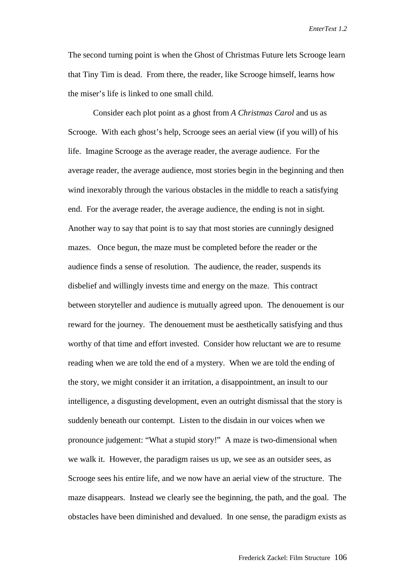The second turning point is when the Ghost of Christmas Future lets Scrooge learn that Tiny Tim is dead. From there, the reader, like Scrooge himself, learns how the miser's life is linked to one small child.

Consider each plot point as a ghost from *A Christmas Carol* and us as Scrooge. With each ghost's help, Scrooge sees an aerial view (if you will) of his life. Imagine Scrooge as the average reader, the average audience. For the average reader, the average audience, most stories begin in the beginning and then wind inexorably through the various obstacles in the middle to reach a satisfying end. For the average reader, the average audience, the ending is not in sight. Another way to say that point is to say that most stories are cunningly designed mazes. Once begun, the maze must be completed before the reader or the audience finds a sense of resolution. The audience, the reader, suspends its disbelief and willingly invests time and energy on the maze. This contract between storyteller and audience is mutually agreed upon. The denouement is our reward for the journey. The denouement must be aesthetically satisfying and thus worthy of that time and effort invested. Consider how reluctant we are to resume reading when we are told the end of a mystery. When we are told the ending of the story, we might consider it an irritation, a disappointment, an insult to our intelligence, a disgusting development, even an outright dismissal that the story is suddenly beneath our contempt. Listen to the disdain in our voices when we pronounce judgement: "What a stupid story!" A maze is two-dimensional when we walk it. However, the paradigm raises us up, we see as an outsider sees, as Scrooge sees his entire life, and we now have an aerial view of the structure. The maze disappears. Instead we clearly see the beginning, the path, and the goal. The obstacles have been diminished and devalued. In one sense, the paradigm exists as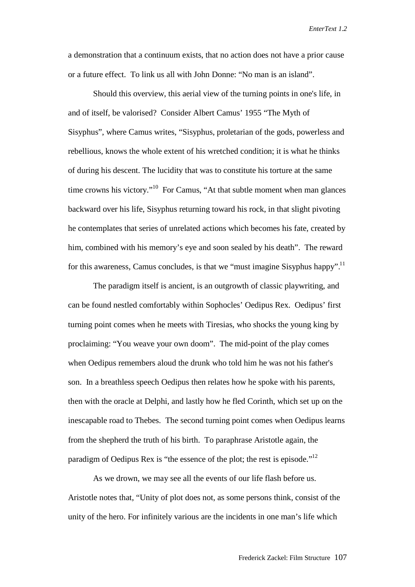a demonstration that a continuum exists, that no action does not have a prior cause or a future effect. To link us all with John Donne: "No man is an island".

Should this overview, this aerial view of the turning points in one's life, in and of itself, be valorised? Consider Albert Camus' 1955 "The Myth of Sisyphus", where Camus writes, "Sisyphus, proletarian of the gods, powerless and rebellious, knows the whole extent of his wretched condition; it is what he thinks of during his descent. The lucidity that was to constitute his torture at the same time crowns his victory."<sup>10</sup> For Camus, "At that subtle moment when man glances backward over his life, Sisyphus returning toward his rock, in that slight pivoting he contemplates that series of unrelated actions which becomes his fate, created by him, combined with his memory's eye and soon sealed by his death". The reward for this awareness, Camus concludes, is that we "must imagine Sisyphus happy".<sup>11</sup>

The paradigm itself is ancient, is an outgrowth of classic playwriting, and can be found nestled comfortably within Sophocles' Oedipus Rex. Oedipus' first turning point comes when he meets with Tiresias, who shocks the young king by proclaiming: "You weave your own doom". The mid-point of the play comes when Oedipus remembers aloud the drunk who told him he was not his father's son. In a breathless speech Oedipus then relates how he spoke with his parents, then with the oracle at Delphi, and lastly how he fled Corinth, which set up on the inescapable road to Thebes. The second turning point comes when Oedipus learns from the shepherd the truth of his birth. To paraphrase Aristotle again, the paradigm of Oedipus Rex is "the essence of the plot; the rest is episode."<sup>12</sup>

As we drown, we may see all the events of our life flash before us. Aristotle notes that, "Unity of plot does not, as some persons think, consist of the unity of the hero. For infinitely various are the incidents in one man's life which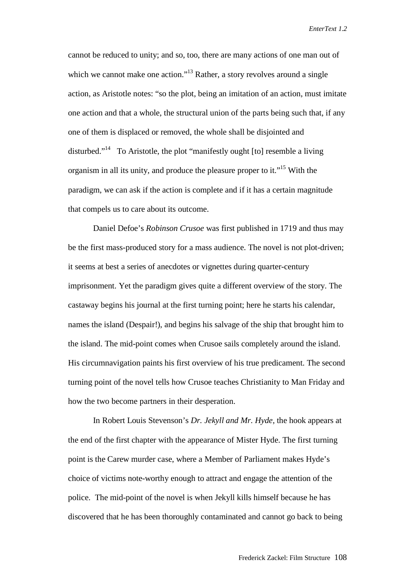cannot be reduced to unity; and so, too, there are many actions of one man out of which we cannot make one action."<sup>13</sup> Rather, a story revolves around a single action, as Aristotle notes: "so the plot, being an imitation of an action, must imitate one action and that a whole, the structural union of the parts being such that, if any one of them is displaced or removed, the whole shall be disjointed and disturbed."<sup>14</sup> To Aristotle, the plot "manifestly ought [to] resemble a living organism in all its unity, and produce the pleasure proper to it."15 With the paradigm, we can ask if the action is complete and if it has a certain magnitude that compels us to care about its outcome.

Daniel Defoe's *Robinson Crusoe* was first published in 1719 and thus may be the first mass-produced story for a mass audience. The novel is not plot-driven; it seems at best a series of anecdotes or vignettes during quarter-century imprisonment. Yet the paradigm gives quite a different overview of the story. The castaway begins his journal at the first turning point; here he starts his calendar, names the island (Despair!), and begins his salvage of the ship that brought him to the island. The mid-point comes when Crusoe sails completely around the island. His circumnavigation paints his first overview of his true predicament. The second turning point of the novel tells how Crusoe teaches Christianity to Man Friday and how the two become partners in their desperation.

In Robert Louis Stevenson's *Dr. Jekyll and Mr. Hyde*, the hook appears at the end of the first chapter with the appearance of Mister Hyde. The first turning point is the Carew murder case, where a Member of Parliament makes Hyde's choice of victims note-worthy enough to attract and engage the attention of the police. The mid-point of the novel is when Jekyll kills himself because he has discovered that he has been thoroughly contaminated and cannot go back to being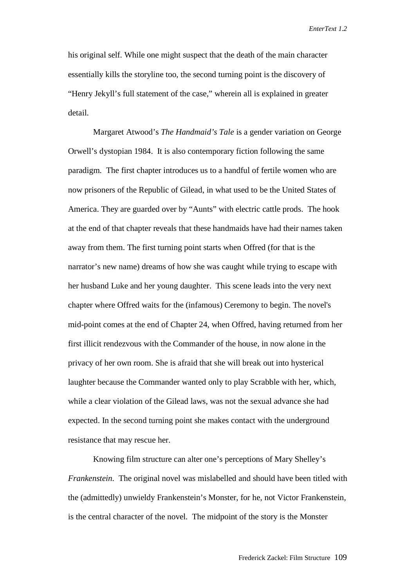his original self. While one might suspect that the death of the main character essentially kills the storyline too, the second turning point is the discovery of "Henry Jekyll's full statement of the case," wherein all is explained in greater detail.

Margaret Atwood's *The Handmaid's Tale* is a gender variation on George Orwell's dystopian 1984. It is also contemporary fiction following the same paradigm. The first chapter introduces us to a handful of fertile women who are now prisoners of the Republic of Gilead, in what used to be the United States of America. They are guarded over by "Aunts" with electric cattle prods. The hook at the end of that chapter reveals that these handmaids have had their names taken away from them. The first turning point starts when Offred (for that is the narrator's new name) dreams of how she was caught while trying to escape with her husband Luke and her young daughter. This scene leads into the very next chapter where Offred waits for the (infamous) Ceremony to begin. The novel's mid-point comes at the end of Chapter 24, when Offred, having returned from her first illicit rendezvous with the Commander of the house, in now alone in the privacy of her own room. She is afraid that she will break out into hysterical laughter because the Commander wanted only to play Scrabble with her, which, while a clear violation of the Gilead laws, was not the sexual advance she had expected. In the second turning point she makes contact with the underground resistance that may rescue her.

Knowing film structure can alter one's perceptions of Mary Shelley's *Frankenstein*. The original novel was mislabelled and should have been titled with the (admittedly) unwieldy Frankenstein's Monster, for he, not Victor Frankenstein, is the central character of the novel. The midpoint of the story is the Monster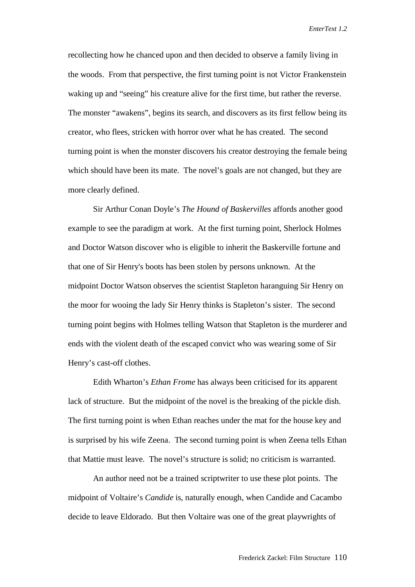recollecting how he chanced upon and then decided to observe a family living in the woods. From that perspective, the first turning point is not Victor Frankenstein waking up and "seeing" his creature alive for the first time, but rather the reverse. The monster "awakens", begins its search, and discovers as its first fellow being its creator, who flees, stricken with horror over what he has created. The second turning point is when the monster discovers his creator destroying the female being which should have been its mate. The novel's goals are not changed, but they are more clearly defined.

Sir Arthur Conan Doyle's *The Hound of Baskervilles* affords another good example to see the paradigm at work. At the first turning point, Sherlock Holmes and Doctor Watson discover who is eligible to inherit the Baskerville fortune and that one of Sir Henry's boots has been stolen by persons unknown. At the midpoint Doctor Watson observes the scientist Stapleton haranguing Sir Henry on the moor for wooing the lady Sir Henry thinks is Stapleton's sister. The second turning point begins with Holmes telling Watson that Stapleton is the murderer and ends with the violent death of the escaped convict who was wearing some of Sir Henry's cast-off clothes.

Edith Wharton's *Ethan Frome* has always been criticised for its apparent lack of structure. But the midpoint of the novel is the breaking of the pickle dish. The first turning point is when Ethan reaches under the mat for the house key and is surprised by his wife Zeena. The second turning point is when Zeena tells Ethan that Mattie must leave. The novel's structure is solid; no criticism is warranted.

An author need not be a trained scriptwriter to use these plot points. The midpoint of Voltaire's *Candide* is, naturally enough, when Candide and Cacambo decide to leave Eldorado. But then Voltaire was one of the great playwrights of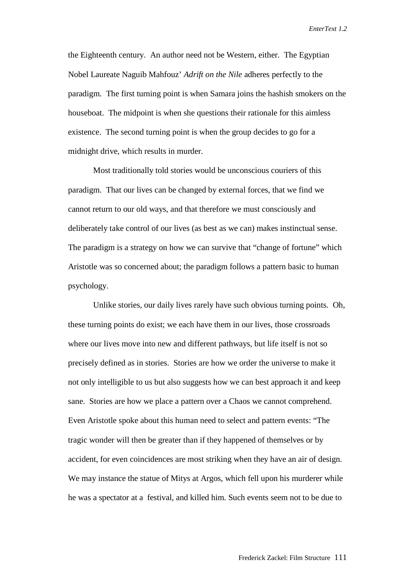the Eighteenth century. An author need not be Western, either. The Egyptian Nobel Laureate Naguib Mahfouz' *Adrift on the Nile* adheres perfectly to the paradigm. The first turning point is when Samara joins the hashish smokers on the houseboat. The midpoint is when she questions their rationale for this aimless existence. The second turning point is when the group decides to go for a midnight drive, which results in murder.

Most traditionally told stories would be unconscious couriers of this paradigm. That our lives can be changed by external forces, that we find we cannot return to our old ways, and that therefore we must consciously and deliberately take control of our lives (as best as we can) makes instinctual sense. The paradigm is a strategy on how we can survive that "change of fortune" which Aristotle was so concerned about; the paradigm follows a pattern basic to human psychology.

Unlike stories, our daily lives rarely have such obvious turning points. Oh, these turning points do exist; we each have them in our lives, those crossroads where our lives move into new and different pathways, but life itself is not so precisely defined as in stories. Stories are how we order the universe to make it not only intelligible to us but also suggests how we can best approach it and keep sane. Stories are how we place a pattern over a Chaos we cannot comprehend. Even Aristotle spoke about this human need to select and pattern events: "The tragic wonder will then be greater than if they happened of themselves or by accident, for even coincidences are most striking when they have an air of design. We may instance the statue of Mitys at Argos, which fell upon his murderer while he was a spectator at a festival, and killed him. Such events seem not to be due to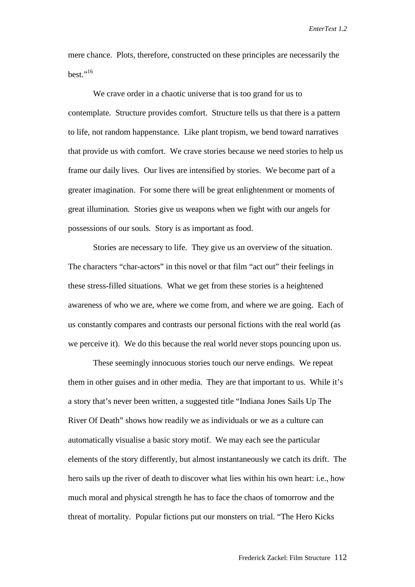mere chance. Plots, therefore, constructed on these principles are necessarily the  $best$ <sup>,,16</sup>

We crave order in a chaotic universe that is too grand for us to contemplate. Structure provides comfort. Structure tells us that there is a pattern to life, not random happenstance. Like plant tropism, we bend toward narratives that provide us with comfort. We crave stories because we need stories to help us frame our daily lives. Our lives are intensified by stories. We become part of a greater imagination. For some there will be great enlightenment or moments of great illumination. Stories give us weapons when we fight with our angels for possessions of our souls. Story is as important as food.

Stories are necessary to life. They give us an overview of the situation. The characters "char-actors" in this novel or that film "act out" their feelings in these stress-filled situations. What we get from these stories is a heightened awareness of who we are, where we come from, and where we are going. Each of us constantly compares and contrasts our personal fictions with the real world (as we perceive it). We do this because the real world never stops pouncing upon us.

These seemingly innocuous stories touch our nerve endings. We repeat them in other guises and in other media. They are that important to us. While it's a story that's never been written, a suggested title "Indiana Jones Sails Up The River Of Death" shows how readily we as individuals or we as a culture can automatically visualise a basic story motif. We may each see the particular elements of the story differently, but almost instantaneously we catch its drift. The hero sails up the river of death to discover what lies within his own heart: i.e., how much moral and physical strength he has to face the chaos of tomorrow and the threat of mortality. Popular fictions put our monsters on trial. "The Hero Kicks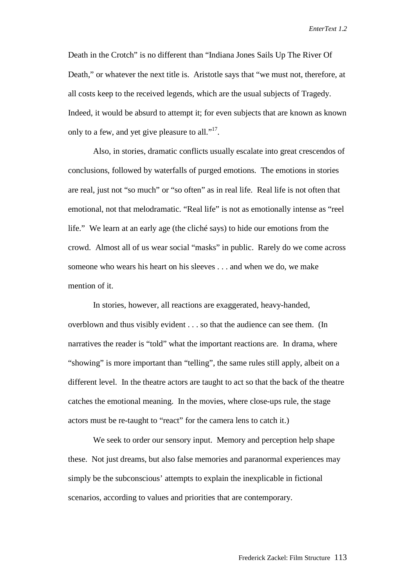Death in the Crotch" is no different than "Indiana Jones Sails Up The River Of Death," or whatever the next title is. Aristotle says that "we must not, therefore, at all costs keep to the received legends, which are the usual subjects of Tragedy. Indeed, it would be absurd to attempt it; for even subjects that are known as known only to a few, and yet give pleasure to all."<sup>17</sup>.

Also, in stories, dramatic conflicts usually escalate into great crescendos of conclusions, followed by waterfalls of purged emotions. The emotions in stories are real, just not "so much" or "so often" as in real life. Real life is not often that emotional, not that melodramatic. "Real life" is not as emotionally intense as "reel life." We learn at an early age (the cliché says) to hide our emotions from the crowd. Almost all of us wear social "masks" in public. Rarely do we come across someone who wears his heart on his sleeves . . . and when we do, we make mention of it.

In stories, however, all reactions are exaggerated, heavy-handed, overblown and thus visibly evident . . . so that the audience can see them. (In narratives the reader is "told" what the important reactions are. In drama, where "showing" is more important than "telling", the same rules still apply, albeit on a different level. In the theatre actors are taught to act so that the back of the theatre catches the emotional meaning. In the movies, where close-ups rule, the stage actors must be re-taught to "react" for the camera lens to catch it.)

We seek to order our sensory input. Memory and perception help shape these. Not just dreams, but also false memories and paranormal experiences may simply be the subconscious' attempts to explain the inexplicable in fictional scenarios, according to values and priorities that are contemporary.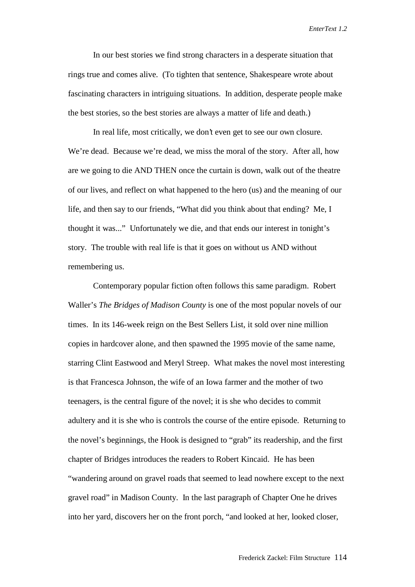In our best stories we find strong characters in a desperate situation that rings true and comes alive. (To tighten that sentence, Shakespeare wrote about fascinating characters in intriguing situations. In addition, desperate people make the best stories, so the best stories are always a matter of life and death.)

In real life, most critically, we don't even get to see our own closure. We're dead. Because we're dead, we miss the moral of the story. After all, how are we going to die AND THEN once the curtain is down, walk out of the theatre of our lives, and reflect on what happened to the hero (us) and the meaning of our life, and then say to our friends, "What did you think about that ending? Me, I thought it was..." Unfortunately we die, and that ends our interest in tonight's story. The trouble with real life is that it goes on without us AND without remembering us.

Contemporary popular fiction often follows this same paradigm. Robert Waller's *The Bridges of Madison County* is one of the most popular novels of our times. In its 146-week reign on the Best Sellers List, it sold over nine million copies in hardcover alone, and then spawned the 1995 movie of the same name, starring Clint Eastwood and Meryl Streep. What makes the novel most interesting is that Francesca Johnson, the wife of an Iowa farmer and the mother of two teenagers, is the central figure of the novel; it is she who decides to commit adultery and it is she who is controls the course of the entire episode. Returning to the novel's beginnings, the Hook is designed to "grab" its readership, and the first chapter of Bridges introduces the readers to Robert Kincaid. He has been "wandering around on gravel roads that seemed to lead nowhere except to the next gravel road" in Madison County. In the last paragraph of Chapter One he drives into her yard, discovers her on the front porch, "and looked at her, looked closer,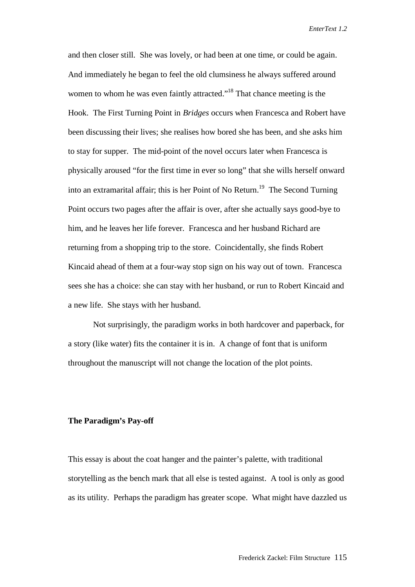and then closer still. She was lovely, or had been at one time, or could be again. And immediately he began to feel the old clumsiness he always suffered around women to whom he was even faintly attracted."<sup>18</sup> That chance meeting is the Hook. The First Turning Point in *Bridges* occurs when Francesca and Robert have been discussing their lives; she realises how bored she has been, and she asks him to stay for supper. The mid-point of the novel occurs later when Francesca is physically aroused "for the first time in ever so long" that she wills herself onward into an extramarital affair; this is her Point of No Return.<sup>19</sup> The Second Turning Point occurs two pages after the affair is over, after she actually says good-bye to him, and he leaves her life forever. Francesca and her husband Richard are returning from a shopping trip to the store. Coincidentally, she finds Robert Kincaid ahead of them at a four-way stop sign on his way out of town. Francesca sees she has a choice: she can stay with her husband, or run to Robert Kincaid and a new life. She stays with her husband.

Not surprisingly, the paradigm works in both hardcover and paperback, for a story (like water) fits the container it is in. A change of font that is uniform throughout the manuscript will not change the location of the plot points.

#### **The Paradigm's Pay-off**

This essay is about the coat hanger and the painter's palette, with traditional storytelling as the bench mark that all else is tested against. A tool is only as good as its utility. Perhaps the paradigm has greater scope. What might have dazzled us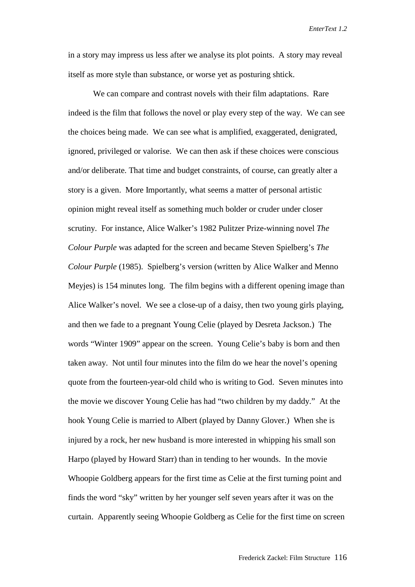in a story may impress us less after we analyse its plot points. A story may reveal itself as more style than substance, or worse yet as posturing shtick.

We can compare and contrast novels with their film adaptations. Rare indeed is the film that follows the novel or play every step of the way. We can see the choices being made. We can see what is amplified, exaggerated, denigrated, ignored, privileged or valorise. We can then ask if these choices were conscious and/or deliberate. That time and budget constraints, of course, can greatly alter a story is a given. More Importantly, what seems a matter of personal artistic opinion might reveal itself as something much bolder or cruder under closer scrutiny. For instance, Alice Walker's 1982 Pulitzer Prize-winning novel *The Colour Purple* was adapted for the screen and became Steven Spielberg's *The Colour Purple* (1985). Spielberg's version (written by Alice Walker and Menno Meyjes) is 154 minutes long. The film begins with a different opening image than Alice Walker's novel. We see a close-up of a daisy, then two young girls playing, and then we fade to a pregnant Young Celie (played by Desreta Jackson.) The words "Winter 1909" appear on the screen. Young Celie's baby is born and then taken away. Not until four minutes into the film do we hear the novel's opening quote from the fourteen-year-old child who is writing to God. Seven minutes into the movie we discover Young Celie has had "two children by my daddy." At the hook Young Celie is married to Albert (played by Danny Glover.) When she is injured by a rock, her new husband is more interested in whipping his small son Harpo (played by Howard Starr) than in tending to her wounds. In the movie Whoopie Goldberg appears for the first time as Celie at the first turning point and finds the word "sky" written by her younger self seven years after it was on the curtain. Apparently seeing Whoopie Goldberg as Celie for the first time on screen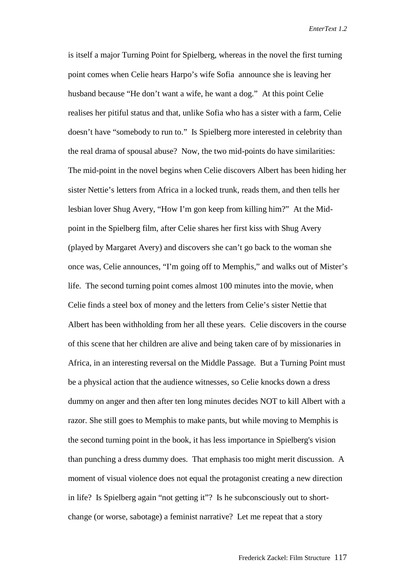is itself a major Turning Point for Spielberg, whereas in the novel the first turning point comes when Celie hears Harpo's wife Sofia announce she is leaving her husband because "He don't want a wife, he want a dog." At this point Celie realises her pitiful status and that, unlike Sofia who has a sister with a farm, Celie doesn't have "somebody to run to." Is Spielberg more interested in celebrity than the real drama of spousal abuse? Now, the two mid-points do have similarities: The mid-point in the novel begins when Celie discovers Albert has been hiding her sister Nettie's letters from Africa in a locked trunk, reads them, and then tells her lesbian lover Shug Avery, "How I'm gon keep from killing him?" At the Midpoint in the Spielberg film, after Celie shares her first kiss with Shug Avery (played by Margaret Avery) and discovers she can't go back to the woman she once was, Celie announces, "I'm going off to Memphis," and walks out of Mister's life. The second turning point comes almost 100 minutes into the movie, when Celie finds a steel box of money and the letters from Celie's sister Nettie that Albert has been withholding from her all these years. Celie discovers in the course of this scene that her children are alive and being taken care of by missionaries in Africa, in an interesting reversal on the Middle Passage. But a Turning Point must be a physical action that the audience witnesses, so Celie knocks down a dress dummy on anger and then after ten long minutes decides NOT to kill Albert with a razor. She still goes to Memphis to make pants, but while moving to Memphis is the second turning point in the book, it has less importance in Spielberg's vision than punching a dress dummy does. That emphasis too might merit discussion. A moment of visual violence does not equal the protagonist creating a new direction in life? Is Spielberg again "not getting it"? Is he subconsciously out to shortchange (or worse, sabotage) a feminist narrative? Let me repeat that a story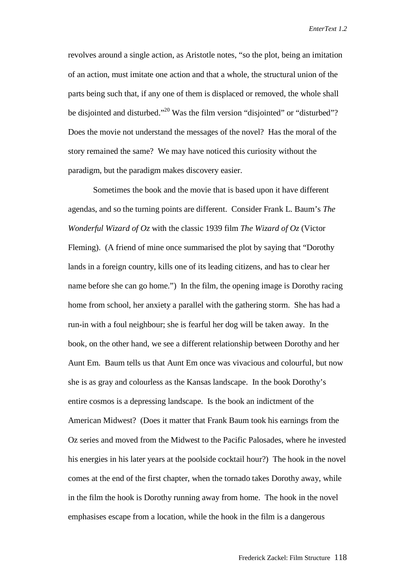revolves around a single action, as Aristotle notes, "so the plot, being an imitation of an action, must imitate one action and that a whole, the structural union of the parts being such that, if any one of them is displaced or removed, the whole shall be disjointed and disturbed."<sup>20</sup> Was the film version "disjointed" or "disturbed"? Does the movie not understand the messages of the novel? Has the moral of the story remained the same? We may have noticed this curiosity without the paradigm, but the paradigm makes discovery easier.

Sometimes the book and the movie that is based upon it have different agendas, and so the turning points are different. Consider Frank L. Baum's *The Wonderful Wizard of Oz* with the classic 1939 film *The Wizard of Oz* (Victor Fleming). (A friend of mine once summarised the plot by saying that "Dorothy lands in a foreign country, kills one of its leading citizens, and has to clear her name before she can go home.") In the film, the opening image is Dorothy racing home from school, her anxiety a parallel with the gathering storm. She has had a run-in with a foul neighbour; she is fearful her dog will be taken away. In the book, on the other hand, we see a different relationship between Dorothy and her Aunt Em. Baum tells us that Aunt Em once was vivacious and colourful, but now she is as gray and colourless as the Kansas landscape. In the book Dorothy's entire cosmos is a depressing landscape. Is the book an indictment of the American Midwest? (Does it matter that Frank Baum took his earnings from the Oz series and moved from the Midwest to the Pacific Palosades, where he invested his energies in his later years at the poolside cocktail hour?) The hook in the novel comes at the end of the first chapter, when the tornado takes Dorothy away, while in the film the hook is Dorothy running away from home. The hook in the novel emphasises escape from a location, while the hook in the film is a dangerous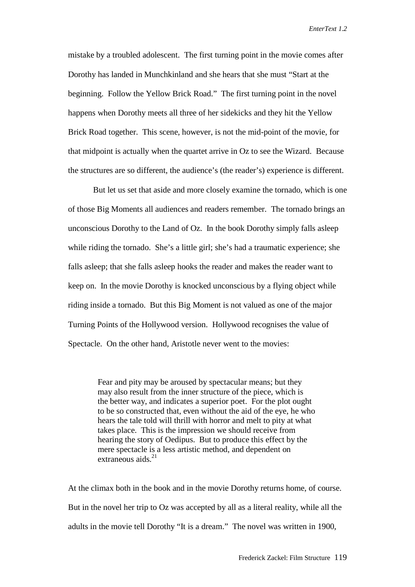mistake by a troubled adolescent. The first turning point in the movie comes after Dorothy has landed in Munchkinland and she hears that she must "Start at the beginning. Follow the Yellow Brick Road." The first turning point in the novel happens when Dorothy meets all three of her sidekicks and they hit the Yellow Brick Road together. This scene, however, is not the mid-point of the movie, for that midpoint is actually when the quartet arrive in Oz to see the Wizard. Because the structures are so different, the audience's (the reader's) experience is different.

But let us set that aside and more closely examine the tornado, which is one of those Big Moments all audiences and readers remember. The tornado brings an unconscious Dorothy to the Land of Oz. In the book Dorothy simply falls asleep while riding the tornado. She's a little girl; she's had a traumatic experience; she falls asleep; that she falls asleep hooks the reader and makes the reader want to keep on. In the movie Dorothy is knocked unconscious by a flying object while riding inside a tornado. But this Big Moment is not valued as one of the major Turning Points of the Hollywood version. Hollywood recognises the value of Spectacle. On the other hand, Aristotle never went to the movies:

> Fear and pity may be aroused by spectacular means; but they may also result from the inner structure of the piece, which is the better way, and indicates a superior poet. For the plot ought to be so constructed that, even without the aid of the eye, he who hears the tale told will thrill with horror and melt to pity at what takes place. This is the impression we should receive from hearing the story of Oedipus. But to produce this effect by the mere spectacle is a less artistic method, and dependent on  $extranelous aids<sup>21</sup>$

At the climax both in the book and in the movie Dorothy returns home, of course. But in the novel her trip to Oz was accepted by all as a literal reality, while all the adults in the movie tell Dorothy "It is a dream." The novel was written in 1900,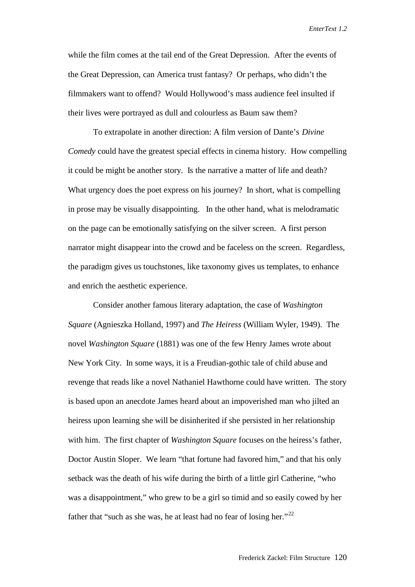while the film comes at the tail end of the Great Depression. After the events of the Great Depression, can America trust fantasy? Or perhaps, who didn't the filmmakers want to offend? Would Hollywood's mass audience feel insulted if their lives were portrayed as dull and colourless as Baum saw them?

To extrapolate in another direction: A film version of Dante's *Divine Comedy* could have the greatest special effects in cinema history. How compelling it could be might be another story. Is the narrative a matter of life and death? What urgency does the poet express on his journey? In short, what is compelling in prose may be visually disappointing. In the other hand, what is melodramatic on the page can be emotionally satisfying on the silver screen. A first person narrator might disappear into the crowd and be faceless on the screen. Regardless, the paradigm gives us touchstones, like taxonomy gives us templates, to enhance and enrich the aesthetic experience.

Consider another famous literary adaptation, the case of *Washington Square* (Agnieszka Holland, 1997) and *The Heiress* (William Wyler, 1949). The novel *Washington Square* (1881) was one of the few Henry James wrote about New York City. In some ways, it is a Freudian-gothic tale of child abuse and revenge that reads like a novel Nathaniel Hawthorne could have written. The story is based upon an anecdote James heard about an impoverished man who jilted an heiress upon learning she will be disinherited if she persisted in her relationship with him. The first chapter of *Washington Square* focuses on the heiress's father, Doctor Austin Sloper. We learn "that fortune had favored him," and that his only setback was the death of his wife during the birth of a little girl Catherine, "who was a disappointment," who grew to be a girl so timid and so easily cowed by her father that "such as she was, he at least had no fear of losing her."<sup>22</sup>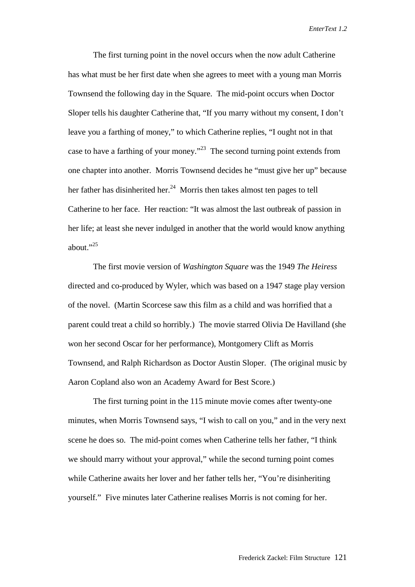The first turning point in the novel occurs when the now adult Catherine has what must be her first date when she agrees to meet with a young man Morris Townsend the following day in the Square. The mid-point occurs when Doctor Sloper tells his daughter Catherine that, "If you marry without my consent, I don't leave you a farthing of money," to which Catherine replies, "I ought not in that case to have a farthing of your money."<sup>23</sup> The second turning point extends from one chapter into another. Morris Townsend decides he "must give her up" because her father has disinherited her.<sup>24</sup> Morris then takes almost ten pages to tell Catherine to her face. Her reaction: "It was almost the last outbreak of passion in her life; at least she never indulged in another that the world would know anything about." $^{25}$ 

The first movie version of *Washington Square* was the 1949 *The Heiress* directed and co-produced by Wyler, which was based on a 1947 stage play version of the novel. (Martin Scorcese saw this film as a child and was horrified that a parent could treat a child so horribly.) The movie starred Olivia De Havilland (she won her second Oscar for her performance), Montgomery Clift as Morris Townsend, and Ralph Richardson as Doctor Austin Sloper. (The original music by Aaron Copland also won an Academy Award for Best Score.)

The first turning point in the 115 minute movie comes after twenty-one minutes, when Morris Townsend says, "I wish to call on you," and in the very next scene he does so. The mid-point comes when Catherine tells her father, "I think we should marry without your approval," while the second turning point comes while Catherine awaits her lover and her father tells her, "You're disinheriting yourself." Five minutes later Catherine realises Morris is not coming for her.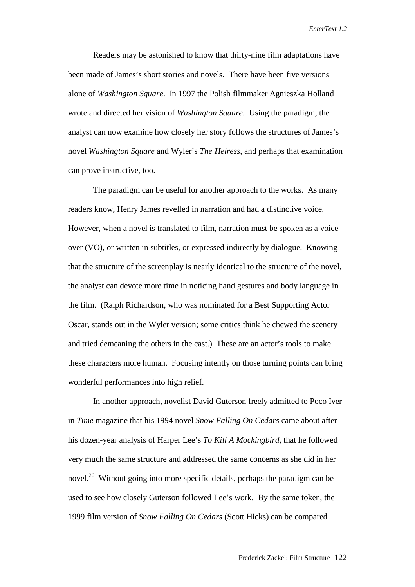Readers may be astonished to know that thirty-nine film adaptations have been made of James's short stories and novels. There have been five versions alone of *Washington Square*. In 1997 the Polish filmmaker Agnieszka Holland wrote and directed her vision of *Washington Square*. Using the paradigm, the analyst can now examine how closely her story follows the structures of James's novel *Washington Square* and Wyler's *The Heiress*, and perhaps that examination can prove instructive, too.

The paradigm can be useful for another approach to the works. As many readers know, Henry James revelled in narration and had a distinctive voice. However, when a novel is translated to film, narration must be spoken as a voiceover (VO), or written in subtitles, or expressed indirectly by dialogue. Knowing that the structure of the screenplay is nearly identical to the structure of the novel, the analyst can devote more time in noticing hand gestures and body language in the film. (Ralph Richardson, who was nominated for a Best Supporting Actor Oscar, stands out in the Wyler version; some critics think he chewed the scenery and tried demeaning the others in the cast.) These are an actor's tools to make these characters more human. Focusing intently on those turning points can bring wonderful performances into high relief.

In another approach, novelist David Guterson freely admitted to Poco Iver in *Time* magazine that his 1994 novel *Snow Falling On Cedars* came about after his dozen-year analysis of Harper Lee's *To Kill A Mockingbird*, that he followed very much the same structure and addressed the same concerns as she did in her novel.<sup>26</sup> Without going into more specific details, perhaps the paradigm can be used to see how closely Guterson followed Lee's work. By the same token, the 1999 film version of *Snow Falling On Cedars* (Scott Hicks) can be compared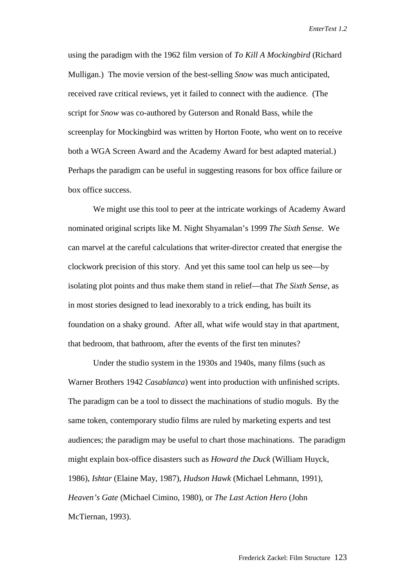using the paradigm with the 1962 film version of *To Kill A Mockingbird* (Richard Mulligan.) The movie version of the best-selling *Snow* was much anticipated, received rave critical reviews, yet it failed to connect with the audience. (The script for *Snow* was co-authored by Guterson and Ronald Bass, while the screenplay for Mockingbird was written by Horton Foote, who went on to receive both a WGA Screen Award and the Academy Award for best adapted material.) Perhaps the paradigm can be useful in suggesting reasons for box office failure or box office success.

We might use this tool to peer at the intricate workings of Academy Award nominated original scripts like M. Night Shyamalan's 1999 *The Sixth Sense*. We can marvel at the careful calculations that writer-director created that energise the clockwork precision of this story. And yet this same tool can help us see—by isolating plot points and thus make them stand in relief—that *The Sixth Sense*, as in most stories designed to lead inexorably to a trick ending, has built its foundation on a shaky ground. After all, what wife would stay in that apartment, that bedroom, that bathroom, after the events of the first ten minutes?

Under the studio system in the 1930s and 1940s, many films (such as Warner Brothers 1942 *Casablanca*) went into production with unfinished scripts. The paradigm can be a tool to dissect the machinations of studio moguls. By the same token, contemporary studio films are ruled by marketing experts and test audiences; the paradigm may be useful to chart those machinations. The paradigm might explain box-office disasters such as *Howard the Duck* (William Huyck, 1986), *Ishtar* (Elaine May, 1987), *Hudson Hawk* (Michael Lehmann, 1991), *Heaven's Gate* (Michael Cimino, 1980), or *The Last Action Hero* (John McTiernan, 1993).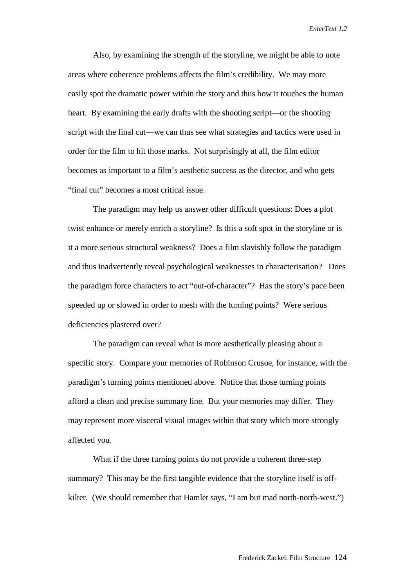Also, by examining the strength of the storyline, we might be able to note areas where coherence problems affects the film's credibility. We may more easily spot the dramatic power within the story and thus how it touches the human heart. By examining the early drafts with the shooting script—or the shooting script with the final cut—we can thus see what strategies and tactics were used in order for the film to hit those marks. Not surprisingly at all, the film editor becomes as important to a film's aesthetic success as the director, and who gets "final cut" becomes a most critical issue.

The paradigm may help us answer other difficult questions: Does a plot twist enhance or merely enrich a storyline? Is this a soft spot in the storyline or is it a more serious structural weakness? Does a film slavishly follow the paradigm and thus inadvertently reveal psychological weaknesses in characterisation? Does the paradigm force characters to act "out-of-character"? Has the story's pace been speeded up or slowed in order to mesh with the turning points? Were serious deficiencies plastered over?

The paradigm can reveal what is more aesthetically pleasing about a specific story. Compare your memories of Robinson Crusoe, for instance, with the paradigm's turning points mentioned above. Notice that those turning points afford a clean and precise summary line. But your memories may differ. They may represent more visceral visual images within that story which more strongly affected you.

What if the three turning points do not provide a coherent three-step summary? This may be the first tangible evidence that the storyline itself is offkilter. (We should remember that Hamlet says, "I am but mad north-north-west.")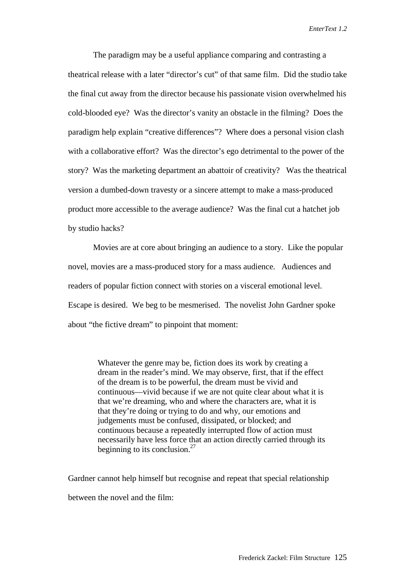The paradigm may be a useful appliance comparing and contrasting a theatrical release with a later "director's cut" of that same film. Did the studio take the final cut away from the director because his passionate vision overwhelmed his cold-blooded eye? Was the director's vanity an obstacle in the filming? Does the paradigm help explain "creative differences"? Where does a personal vision clash with a collaborative effort? Was the director's ego detrimental to the power of the story? Was the marketing department an abattoir of creativity? Was the theatrical version a dumbed-down travesty or a sincere attempt to make a mass-produced product more accessible to the average audience? Was the final cut a hatchet job by studio hacks?

Movies are at core about bringing an audience to a story. Like the popular novel, movies are a mass-produced story for a mass audience. Audiences and readers of popular fiction connect with stories on a visceral emotional level. Escape is desired. We beg to be mesmerised. The novelist John Gardner spoke about "the fictive dream" to pinpoint that moment:

> Whatever the genre may be, fiction does its work by creating a dream in the reader's mind. We may observe, first, that if the effect of the dream is to be powerful, the dream must be vivid and continuous—vivid because if we are not quite clear about what it is that we're dreaming, who and where the characters are, what it is that they're doing or trying to do and why, our emotions and judgements must be confused, dissipated, or blocked; and continuous because a repeatedly interrupted flow of action must necessarily have less force that an action directly carried through its beginning to its conclusion. $^{27}$

Gardner cannot help himself but recognise and repeat that special relationship between the novel and the film: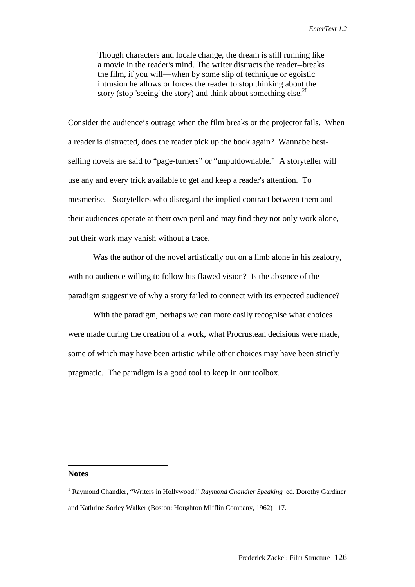Though characters and locale change, the dream is still running like a movie in the reader's mind. The writer distracts the reader--breaks the film, if you will—when by some slip of technique or egoistic intrusion he allows or forces the reader to stop thinking about the story (stop 'seeing' the story) and think about something else.<sup>28</sup>

Consider the audience's outrage when the film breaks or the projector fails. When a reader is distracted, does the reader pick up the book again? Wannabe bestselling novels are said to "page-turners" or "unputdownable." A storyteller will use any and every trick available to get and keep a reader's attention. To mesmerise. Storytellers who disregard the implied contract between them and their audiences operate at their own peril and may find they not only work alone, but their work may vanish without a trace.

Was the author of the novel artistically out on a limb alone in his zealotry, with no audience willing to follow his flawed vision? Is the absence of the paradigm suggestive of why a story failed to connect with its expected audience?

With the paradigm, perhaps we can more easily recognise what choices were made during the creation of a work, what Procrustean decisions were made, some of which may have been artistic while other choices may have been strictly pragmatic. The paradigm is a good tool to keep in our toolbox.

#### **Notes**

 $\overline{a}$ 

<sup>&</sup>lt;sup>1</sup> Raymond Chandler, "Writers in Hollywood," Raymond Chandler Speaking ed. Dorothy Gardiner and Kathrine Sorley Walker (Boston: Houghton Mifflin Company, 1962) 117.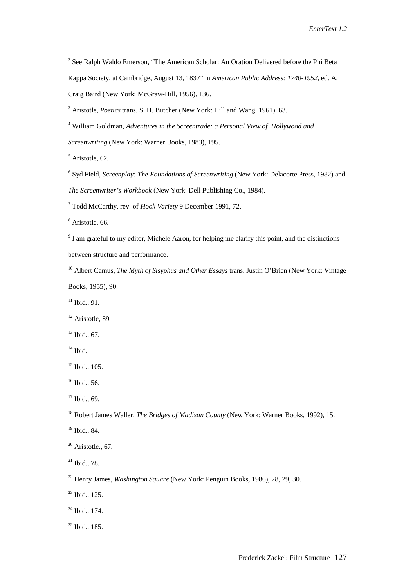<sup>2</sup>  $3$  See Ralph Waldo Emerson, "The American Scholar: An Oration Delivered before the Phi Beta Kappa Society, at Cambridge, August 13, 1837" in *American Public Address: 1740-1952*, ed. A. Craig Baird (New York: McGraw-Hill, 1956), 136.

3 Aristotle, *Poetics* trans. S. H. Butcher (New York: Hill and Wang, 1961), 63.

4 William Goldman*, Adventures in the Screentrade: a Personal View of Hollywood and*

*Screenwriting* (New York: Warner Books, 1983), 195.

5 Aristotle, 62.

6 Syd Field, *Screenplay: The Foundations of Screenwriting* (New York: Delacorte Press, 1982) and

*The Screenwriter's Workbook* (New York: Dell Publishing Co., 1984).

7 Todd McCarthy, rev. of *Hook Variety* 9 December 1991, 72.

8 Aristotle, 66.

 $9<sup>9</sup>$  I am grateful to my editor, Michele Aaron, for helping me clarify this point, and the distinctions between structure and performance.

10 Albert Camus, *The Myth of Sisyphus and Other Essays* trans. Justin O'Brien (New York: Vintage Books, 1955), 90.

 $11$  Ibid., 91.

12 Aristotle, 89.

13 Ibid., 67.

 $14$  Ibid.

 $15$  Ibid., 105.

16 Ibid., 56.

 $17$  Ibid., 69.

18 Robert James Waller, *The Bridges of Madison County* (New York: Warner Books, 1992), 15.

19 Ibid., 84.

 $20$  Aristotle., 67.

 $21$  Ibid., 78.

22 Henry James, *Washington Square* (New York: Penguin Books, 1986), 28, 29, 30.

<sup>23</sup> Ibid., 125.

24 Ibid., 174.

<sup>25</sup> Ibid., 185.